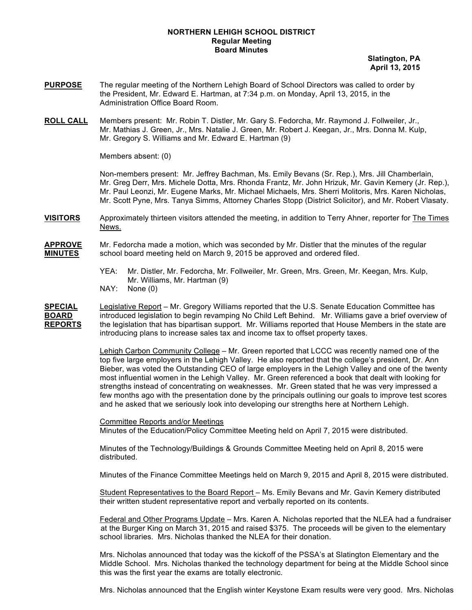## **NORTHERN LEHIGH SCHOOL DISTRICT Regular Meeting Board Minutes**

 **Slatington, PA April 13, 2015**

- **PURPOSE** The regular meeting of the Northern Lehigh Board of School Directors was called to order by the President, Mr. Edward E. Hartman, at 7:34 p.m. on Monday, April 13, 2015, in the Administration Office Board Room.
- **ROLL CALL** Members present: Mr. Robin T. Distler, Mr. Gary S. Fedorcha, Mr. Raymond J. Follweiler, Jr., Mr. Mathias J. Green, Jr., Mrs. Natalie J. Green, Mr. Robert J. Keegan, Jr., Mrs. Donna M. Kulp, Mr. Gregory S. Williams and Mr. Edward E. Hartman (9)

Members absent: (0)

Non-members present: Mr. Jeffrey Bachman, Ms. Emily Bevans (Sr. Rep.), Mrs. Jill Chamberlain, Mr. Greg Derr, Mrs. Michele Dotta, Mrs. Rhonda Frantz, Mr. John Hrizuk, Mr. Gavin Kemery (Jr. Rep.), Mr. Paul Leonzi, Mr. Eugene Marks, Mr. Michael Michaels, Mrs. Sherri Molitoris, Mrs. Karen Nicholas, Mr. Scott Pyne, Mrs. Tanya Simms, Attorney Charles Stopp (District Solicitor), and Mr. Robert Vlasaty.

**VISITORS** Approximately thirteen visitors attended the meeting, in addition to Terry Ahner, reporter for The Times News.

**APPROVE** Mr. Fedorcha made a motion, which was seconded by Mr. Distler that the minutes of the regular **MINUTES** school board meeting held on March 9, 2015 be approved and ordered filed.

- YEA: Mr. Distler, Mr. Fedorcha, Mr. Follweiler, Mr. Green, Mrs. Green, Mr. Keegan, Mrs. Kulp, Mr. Williams, Mr. Hartman (9)
- NAY: None (0)

**SPECIAL** Legislative Report – Mr. Gregory Williams reported that the U.S. Senate Education Committee has **BOARD** introduced legislation to begin revamping No Child Left Behind. Mr. Williams gave a brief overview of **REPORTS** the legislation that has bipartisan support. Mr. Williams reported that House Members in the state are introducing plans to increase sales tax and income tax to offset property taxes.

> Lehigh Carbon Community College – Mr. Green reported that LCCC was recently named one of the top five large employers in the Lehigh Valley. He also reported that the college's president, Dr. Ann Bieber, was voted the Outstanding CEO of large employers in the Lehigh Valley and one of the twenty most influential women in the Lehigh Valley. Mr. Green referenced a book that dealt with looking for strengths instead of concentrating on weaknesses. Mr. Green stated that he was very impressed a few months ago with the presentation done by the principals outlining our goals to improve test scores and he asked that we seriously look into developing our strengths here at Northern Lehigh.

Committee Reports and/or Meetings Minutes of the Education/Policy Committee Meeting held on April 7, 2015 were distributed.

Minutes of the Technology/Buildings & Grounds Committee Meeting held on April 8, 2015 were distributed.

Minutes of the Finance Committee Meetings held on March 9, 2015 and April 8, 2015 were distributed.

Student Representatives to the Board Report – Ms. Emily Bevans and Mr. Gavin Kemery distributed their written student representative report and verbally reported on its contents.

Federal and Other Programs Update – Mrs. Karen A. Nicholas reported that the NLEA had a fundraiser at the Burger King on March 31, 2015 and raised \$375. The proceeds will be given to the elementary school libraries. Mrs. Nicholas thanked the NLEA for their donation.

Mrs. Nicholas announced that today was the kickoff of the PSSA's at Slatington Elementary and the Middle School. Mrs. Nicholas thanked the technology department for being at the Middle School since this was the first year the exams are totally electronic.

Mrs. Nicholas announced that the English winter Keystone Exam results were very good. Mrs. Nicholas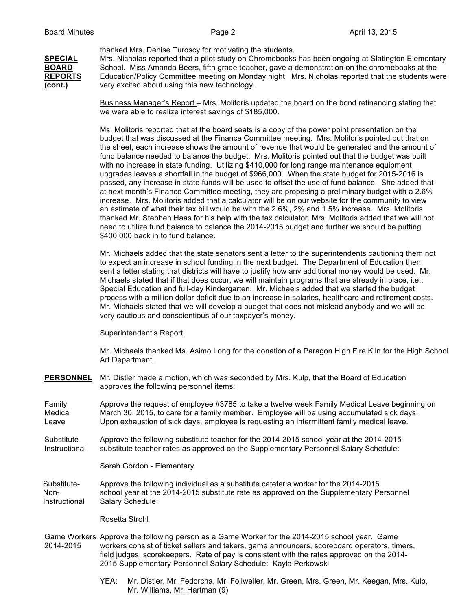thanked Mrs. Denise Turoscy for motivating the students.

**SPECIAL** Mrs. Nicholas reported that a pilot study on Chromebooks has been ongoing at Slatington Elementary **BOARD** School. Miss Amanda Beers, fifth grade teacher, gave a demonstration on the chromebooks at the **REPORTS** Education/Policy Committee meeting on Monday night. Mrs. Nicholas reported that the students were **(cont.)** very excited about using this new technology.

> Business Manager's Report – Mrs. Molitoris updated the board on the bond refinancing stating that we were able to realize interest savings of \$185,000.

> Ms. Molitoris reported that at the board seats is a copy of the power point presentation on the budget that was discussed at the Finance Committee meeting. Mrs. Molitoris pointed out that on the sheet, each increase shows the amount of revenue that would be generated and the amount of fund balance needed to balance the budget. Mrs. Molitoris pointed out that the budget was built with no increase in state funding. Utilizing \$410,000 for long range maintenance equipment upgrades leaves a shortfall in the budget of \$966,000. When the state budget for 2015-2016 is passed, any increase in state funds will be used to offset the use of fund balance. She added that at next month's Finance Committee meeting, they are proposing a preliminary budget with a 2.6% increase. Mrs. Molitoris added that a calculator will be on our website for the community to view an estimate of what their tax bill would be with the 2.6%, 2% and 1.5% increase. Mrs. Molitoris thanked Mr. Stephen Haas for his help with the tax calculator. Mrs. Molitoris added that we will not need to utilize fund balance to balance the 2014-2015 budget and further we should be putting \$400,000 back in to fund balance.

> Mr. Michaels added that the state senators sent a letter to the superintendents cautioning them not to expect an increase in school funding in the next budget. The Department of Education then sent a letter stating that districts will have to justify how any additional money would be used. Mr. Michaels stated that if that does occur, we will maintain programs that are already in place, i.e.: Special Education and full-day Kindergarten. Mr. Michaels added that we started the budget process with a million dollar deficit due to an increase in salaries, healthcare and retirement costs. Mr. Michaels stated that we will develop a budget that does not mislead anybody and we will be very cautious and conscientious of our taxpayer's money.

## Superintendent's Report

Mr. Michaels thanked Ms. Asimo Long for the donation of a Paragon High Fire Kiln for the High School Art Department.

**PERSONNEL** Mr. Distler made a motion, which was seconded by Mrs. Kulp, that the Board of Education approves the following personnel items:

Family Approve the request of employee #3785 to take a twelve week Family Medical Leave beginning on Medical March 30, 2015, to care for a family member. Employee will be using accumulated sick days. Leave Upon exhaustion of sick days, employee is requesting an intermittent family medical leave.

Substitute- Approve the following substitute teacher for the 2014-2015 school year at the 2014-2015 Instructional substitute teacher rates as approved on the Supplementary Personnel Salary Schedule:

Sarah Gordon - Elementary

 Substitute- Approve the following individual as a substitute cafeteria worker for the 2014-2015 Non- school year at the 2014-2015 substitute rate as approved on the Supplementary Personnel Instructional Salary Schedule:

Rosetta Strohl

- Game Workers Approve the following person as a Game Worker for the 2014-2015 school year. Game 2014-2015 workers consist of ticket sellers and takers, game announcers, scoreboard operators, timers, field judges, scorekeepers. Rate of pay is consistent with the rates approved on the 2014- 2015 Supplementary Personnel Salary Schedule: Kayla Perkowski
	- YEA: Mr. Distler, Mr. Fedorcha, Mr. Follweiler, Mr. Green, Mrs. Green, Mr. Keegan, Mrs. Kulp, Mr. Williams, Mr. Hartman (9)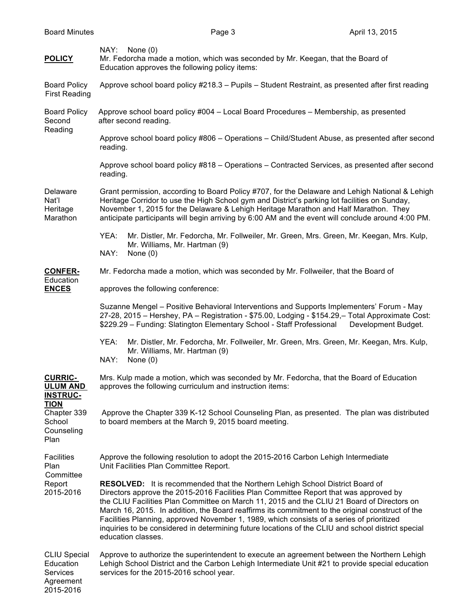| <b>POLICY</b>                                                          | NAY: None(0)<br>Mr. Fedorcha made a motion, which was seconded by Mr. Keegan, that the Board of<br>Education approves the following policy items:                                                                                                                                                                                                                                                                                                                                                                                                                                                        |
|------------------------------------------------------------------------|----------------------------------------------------------------------------------------------------------------------------------------------------------------------------------------------------------------------------------------------------------------------------------------------------------------------------------------------------------------------------------------------------------------------------------------------------------------------------------------------------------------------------------------------------------------------------------------------------------|
| <b>Board Policy</b><br><b>First Reading</b>                            | Approve school board policy #218.3 - Pupils - Student Restraint, as presented after first reading                                                                                                                                                                                                                                                                                                                                                                                                                                                                                                        |
| <b>Board Policy</b><br>Second<br>Reading                               | Approve school board policy #004 - Local Board Procedures - Membership, as presented<br>after second reading.                                                                                                                                                                                                                                                                                                                                                                                                                                                                                            |
|                                                                        | Approve school board policy #806 - Operations - Child/Student Abuse, as presented after second<br>reading.                                                                                                                                                                                                                                                                                                                                                                                                                                                                                               |
|                                                                        | Approve school board policy #818 - Operations - Contracted Services, as presented after second<br>reading.                                                                                                                                                                                                                                                                                                                                                                                                                                                                                               |
| Delaware<br>Nat'l<br>Heritage<br>Marathon                              | Grant permission, according to Board Policy #707, for the Delaware and Lehigh National & Lehigh<br>Heritage Corridor to use the High School gym and District's parking lot facilities on Sunday,<br>November 1, 2015 for the Delaware & Lehigh Heritage Marathon and Half Marathon. They<br>anticipate participants will begin arriving by 6:00 AM and the event will conclude around 4:00 PM.                                                                                                                                                                                                           |
|                                                                        | Mr. Distler, Mr. Fedorcha, Mr. Follweiler, Mr. Green, Mrs. Green, Mr. Keegan, Mrs. Kulp,<br>YEA:<br>Mr. Williams, Mr. Hartman (9)<br>NAY:<br>None $(0)$                                                                                                                                                                                                                                                                                                                                                                                                                                                  |
| <b>CONFER-</b><br>Education<br><b>ENCES</b>                            | Mr. Fedorcha made a motion, which was seconded by Mr. Follweiler, that the Board of                                                                                                                                                                                                                                                                                                                                                                                                                                                                                                                      |
|                                                                        | approves the following conference:                                                                                                                                                                                                                                                                                                                                                                                                                                                                                                                                                                       |
|                                                                        | Suzanne Mengel - Positive Behavioral Interventions and Supports Implementers' Forum - May<br>27-28, 2015 - Hershey, PA - Registration - \$75.00, Lodging - \$154.29, - Total Approximate Cost:<br>\$229.29 - Funding: Slatington Elementary School - Staff Professional<br>Development Budget.                                                                                                                                                                                                                                                                                                           |
|                                                                        | YEA:<br>Mr. Distler, Mr. Fedorcha, Mr. Follweiler, Mr. Green, Mrs. Green, Mr. Keegan, Mrs. Kulp,<br>Mr. Williams, Mr. Hartman (9)<br>NAY:<br>None $(0)$                                                                                                                                                                                                                                                                                                                                                                                                                                                  |
| <b>CURRIC-</b><br><b>ULUM AND</b><br><b>INSTRUC-</b>                   | Mrs. Kulp made a motion, which was seconded by Mr. Fedorcha, that the Board of Education<br>approves the following curriculum and instruction items:                                                                                                                                                                                                                                                                                                                                                                                                                                                     |
| <b>TION</b><br>Chapter 339<br>School<br>Counseling<br>Plan             | Approve the Chapter 339 K-12 School Counseling Plan, as presented. The plan was distributed<br>to board members at the March 9, 2015 board meeting.                                                                                                                                                                                                                                                                                                                                                                                                                                                      |
| <b>Facilities</b><br>Plan<br>Committee<br>Report<br>2015-2016          | Approve the following resolution to adopt the 2015-2016 Carbon Lehigh Intermediate<br>Unit Facilities Plan Committee Report.                                                                                                                                                                                                                                                                                                                                                                                                                                                                             |
|                                                                        | <b>RESOLVED:</b> It is recommended that the Northern Lehigh School District Board of<br>Directors approve the 2015-2016 Facilities Plan Committee Report that was approved by<br>the CLIU Facilities Plan Committee on March 11, 2015 and the CLIU 21 Board of Directors on<br>March 16, 2015. In addition, the Board reaffirms its commitment to the original construct of the<br>Facilities Planning, approved November 1, 1989, which consists of a series of prioritized<br>inquiries to be considered in determining future locations of the CLIU and school district special<br>education classes. |
| <b>CLIU Special</b><br>Education<br>Services<br>Agreement<br>2015-2016 | Approve to authorize the superintendent to execute an agreement between the Northern Lehigh<br>Lehigh School District and the Carbon Lehigh Intermediate Unit #21 to provide special education<br>services for the 2015-2016 school year.                                                                                                                                                                                                                                                                                                                                                                |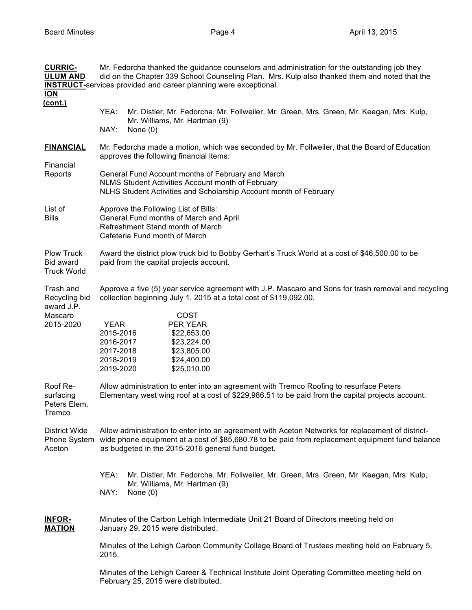| <b>CURRIC-</b><br><b>ULUM AND</b><br><b>ION</b><br>(cont.)       | Mr. Fedorcha thanked the guidance counselors and administration for the outstanding job they<br>did on the Chapter 339 School Counseling Plan. Mrs. Kulp also thanked them and noted that the<br><b>INSTRUCT-Services provided and career planning were exceptional.</b>                                                                                  |
|------------------------------------------------------------------|-----------------------------------------------------------------------------------------------------------------------------------------------------------------------------------------------------------------------------------------------------------------------------------------------------------------------------------------------------------|
|                                                                  | YEA:<br>Mr. Distler, Mr. Fedorcha, Mr. Follweiler, Mr. Green, Mrs. Green, Mr. Keegan, Mrs. Kulp,<br>Mr. Williams, Mr. Hartman (9)<br>NAY:<br>None $(0)$                                                                                                                                                                                                   |
| <b>FINANCIAL</b><br>Financial<br>Reports                         | Mr. Fedorcha made a motion, which was seconded by Mr. Follweiler, that the Board of Education<br>approves the following financial items:<br>General Fund Account months of February and March<br>NLMS Student Activities Account month of February                                                                                                        |
| List of<br>Bills                                                 | NLHS Student Activities and Scholarship Account month of February<br>Approve the Following List of Bills:<br>General Fund months of March and April<br>Refreshment Stand month of March<br>Cafeteria Fund month of March                                                                                                                                  |
| <b>Plow Truck</b><br>Bid award<br><b>Truck World</b>             | Award the district plow truck bid to Bobby Gerhart's Truck World at a cost of \$46,500.00 to be<br>paid from the capital projects account.                                                                                                                                                                                                                |
| Trash and<br>Recycling bid<br>award J.P.<br>Mascaro<br>2015-2020 | Approve a five (5) year service agreement with J.P. Mascaro and Sons for trash removal and recycling<br>collection beginning July 1, 2015 at a total cost of \$119,092.00.<br>COST<br>PER YEAR<br><b>YEAR</b><br>2015-2016<br>\$22,653.00<br>2016-2017<br>\$23,224.00<br>2017-2018<br>\$23,805.00<br>2018-2019<br>\$24,400.00<br>2019-2020<br>\$25,010.00 |
| Roof Re-<br>surfacing<br>Peters Elem.<br>Tremco                  | Allow administration to enter into an agreement with Tremco Roofing to resurface Peters<br>Elementary west wing roof at a cost of \$229,986.51 to be paid from the capital projects account.                                                                                                                                                              |
| <b>District Wide</b><br>Phone System<br>Aceton                   | Allow administration to enter into an agreement with Aceton Networks for replacement of district-<br>wide phone equipment at a cost of \$85,680.78 to be paid from replacement equipment fund balance<br>as budgeted in the 2015-2016 general fund budget.                                                                                                |
|                                                                  | YEA:<br>Mr. Distler, Mr. Fedorcha, Mr. Follweiler, Mr. Green, Mrs. Green, Mr. Keegan, Mrs. Kulp,<br>Mr. Williams, Mr. Hartman (9)<br>NAY:<br>None $(0)$                                                                                                                                                                                                   |
| <u>INFOR-</u><br><b>MATION</b>                                   | Minutes of the Carbon Lehigh Intermediate Unit 21 Board of Directors meeting held on<br>January 29, 2015 were distributed.                                                                                                                                                                                                                                |
|                                                                  | Minutes of the Lehigh Carbon Community College Board of Trustees meeting held on February 5,<br>2015.                                                                                                                                                                                                                                                     |
|                                                                  | Minutes of the Lehigh Career & Technical Institute Joint Operating Committee meeting held on<br>February 25, 2015 were distributed.                                                                                                                                                                                                                       |